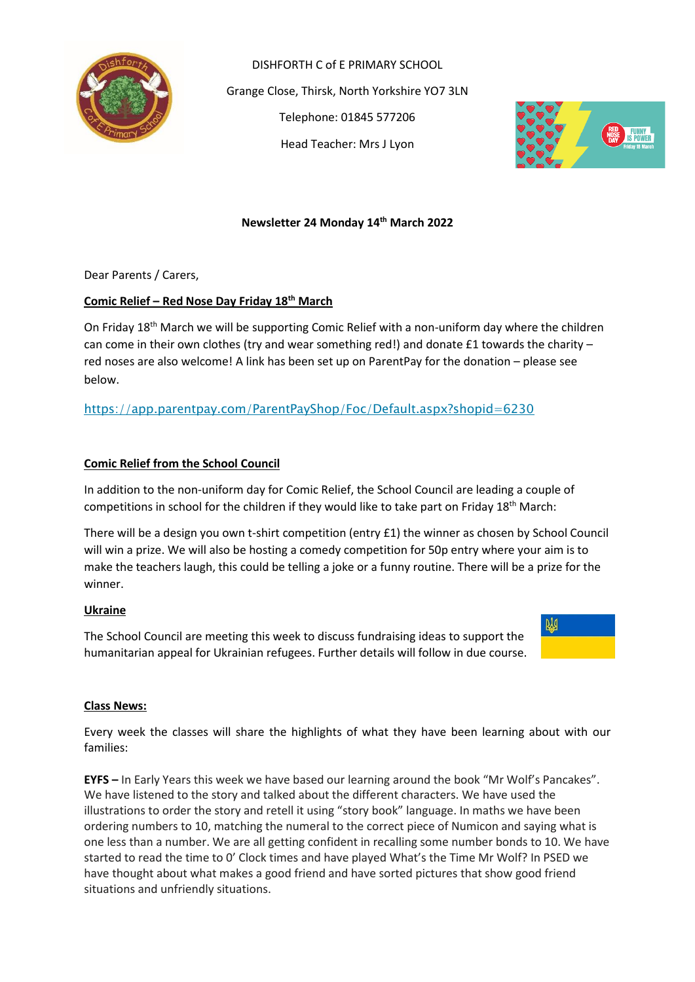

DISHFORTH C of E PRIMARY SCHOOL Grange Close, Thirsk, North Yorkshire YO7 3LN Telephone: 01845 577206 Head Teacher: Mrs J Lyon



## **Newsletter 24 Monday 14th March 2022**

Dear Parents / Carers,

## **Comic Relief – Red Nose Day Friday 18th March**

On Friday  $18<sup>th</sup>$  March we will be supporting Comic Relief with a non-uniform day where the children can come in their own clothes (try and wear something red!) and donate  $£1$  towards the charity – red noses are also welcome! A link has been set up on ParentPay for the donation – please see below.

<https://app.parentpay.com/ParentPayShop/Foc/Default.aspx?shopid=6230>

## **Comic Relief from the School Council**

In addition to the non-uniform day for Comic Relief, the School Council are leading a couple of competitions in school for the children if they would like to take part on Friday 18th March:

There will be a design you own t-shirt competition (entry £1) the winner as chosen by School Council will win a prize. We will also be hosting a comedy competition for 50p entry where your aim is to make the teachers laugh, this could be telling a joke or a funny routine. There will be a prize for the winner.

### **Ukraine**

The School Council are meeting this week to discuss fundraising ideas to support the humanitarian appeal for Ukrainian refugees. Further details will follow in due course.



### **Class News:**

Every week the classes will share the highlights of what they have been learning about with our families:

**EYFS –** In Early Years this week we have based our learning around the book "Mr Wolf's Pancakes". We have listened to the story and talked about the different characters. We have used the illustrations to order the story and retell it using "story book" language. In maths we have been ordering numbers to 10, matching the numeral to the correct piece of Numicon and saying what is one less than a number. We are all getting confident in recalling some number bonds to 10. We have started to read the time to 0' Clock times and have played What's the Time Mr Wolf? In PSED we have thought about what makes a good friend and have sorted pictures that show good friend situations and unfriendly situations.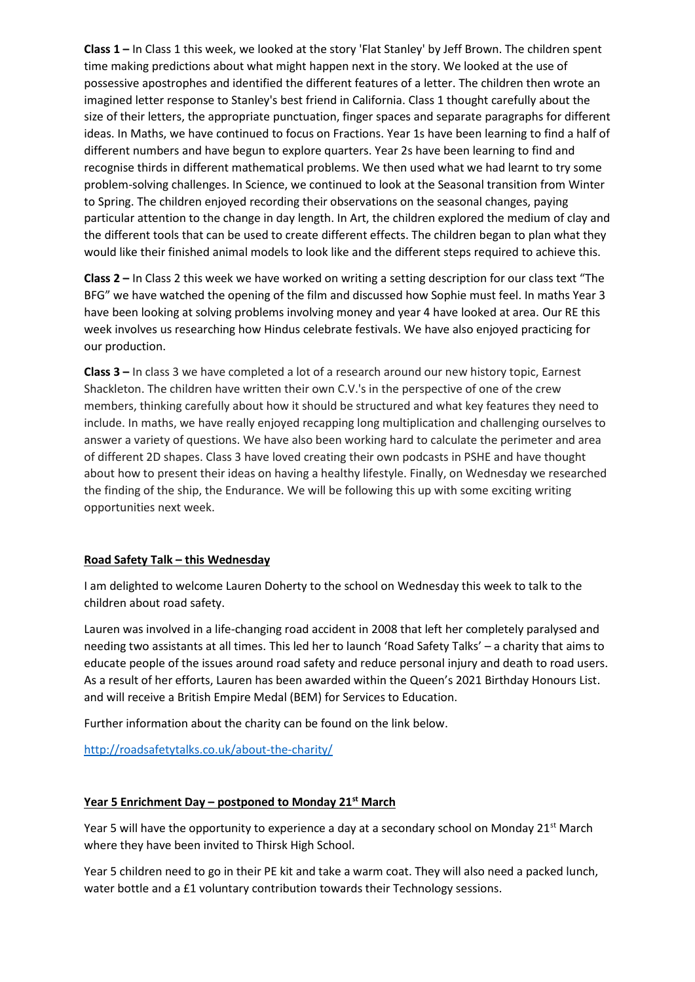**Class 1 –** In Class 1 this week, we looked at the story 'Flat Stanley' by Jeff Brown. The children spent time making predictions about what might happen next in the story. We looked at the use of possessive apostrophes and identified the different features of a letter. The children then wrote an imagined letter response to Stanley's best friend in California. Class 1 thought carefully about the size of their letters, the appropriate punctuation, finger spaces and separate paragraphs for different ideas. In Maths, we have continued to focus on Fractions. Year 1s have been learning to find a half of different numbers and have begun to explore quarters. Year 2s have been learning to find and recognise thirds in different mathematical problems. We then used what we had learnt to try some problem-solving challenges. In Science, we continued to look at the Seasonal transition from Winter to Spring. The children enjoyed recording their observations on the seasonal changes, paying particular attention to the change in day length. In Art, the children explored the medium of clay and the different tools that can be used to create different effects. The children began to plan what they would like their finished animal models to look like and the different steps required to achieve this.

**Class 2 –** In Class 2 this week we have worked on writing a setting description for our class text "The BFG" we have watched the opening of the film and discussed how Sophie must feel. In maths Year 3 have been looking at solving problems involving money and year 4 have looked at area. Our RE this week involves us researching how Hindus celebrate festivals. We have also enjoyed practicing for our production.

**Class 3 –** In class 3 we have completed a lot of a research around our new history topic, Earnest Shackleton. The children have written their own C.V.'s in the perspective of one of the crew members, thinking carefully about how it should be structured and what key features they need to include. In maths, we have really enjoyed recapping long multiplication and challenging ourselves to answer a variety of questions. We have also been working hard to calculate the perimeter and area of different 2D shapes. Class 3 have loved creating their own podcasts in PSHE and have thought about how to present their ideas on having a healthy lifestyle. Finally, on Wednesday we researched the finding of the ship, the Endurance. We will be following this up with some exciting writing opportunities next week.

# **Road Safety Talk – this Wednesday**

I am delighted to welcome Lauren Doherty to the school on Wednesday this week to talk to the children about road safety.

Lauren was involved in a life-changing road accident in 2008 that left her completely paralysed and needing two assistants at all times. This led her to launch 'Road Safety Talks' – a charity that aims to educate people of the issues around road safety and reduce personal injury and death to road users. As a result of her efforts, Lauren has been awarded within the Queen's 2021 Birthday Honours List. and will receive a British Empire Medal (BEM) for Services to Education.

Further information about the charity can be found on the link below.

<http://roadsafetytalks.co.uk/about-the-charity/>

### **Year 5 Enrichment Day – postponed to Monday 21st March**

Year 5 will have the opportunity to experience a day at a secondary school on Monday 21<sup>st</sup> March where they have been invited to Thirsk High School.

Year 5 children need to go in their PE kit and take a warm coat. They will also need a packed lunch, water bottle and a £1 voluntary contribution towards their Technology sessions.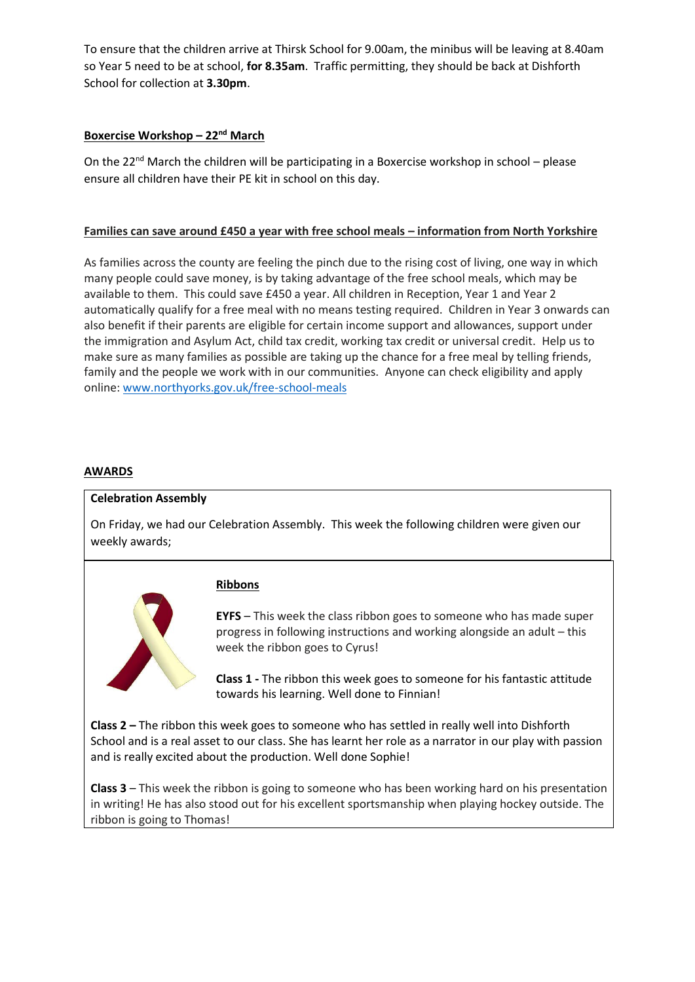To ensure that the children arrive at Thirsk School for 9.00am, the minibus will be leaving at 8.40am so Year 5 need to be at school, **for 8.35am**. Traffic permitting, they should be back at Dishforth School for collection at **3.30pm**.

# **Boxercise Workshop – 22 nd March**

On the 22<sup>nd</sup> March the children will be participating in a Boxercise workshop in school – please ensure all children have their PE kit in school on this day.

## **Families can save around £450 a year with free school meals – information from North Yorkshire**

As families across the county are feeling the pinch due to the rising cost of living, one way in which many people could save money, is by taking advantage of the free school meals, which may be available to them. This could save £450 a year. All children in Reception, Year 1 and Year 2 automatically qualify for a free meal with no means testing required. Children in Year 3 onwards can also benefit if their parents are eligible for certain income support and allowances, support under the immigration and Asylum Act, child tax credit, working tax credit or universal credit. Help us to make sure as many families as possible are taking up the chance for a free meal by telling friends, family and the people we work with in our communities. Anyone can check eligibility and apply online: [www.northyorks.gov.uk/free-school-meals](http://www.northyorks.gov.uk/free-school-meals)

## **AWARDS**

### **Celebration Assembly**

On Friday, we had our Celebration Assembly. This week the following children were given our weekly awards;



### **Ribbons**

**EYFS** – This week the class ribbon goes to someone who has made super progress in following instructions and working alongside an adult – this week the ribbon goes to Cyrus!

**Class 1 -** The ribbon this week goes to someone for his fantastic attitude towards his learning. Well done to Finnian!

**Class 2 –** The ribbon this week goes to someone who has settled in really well into Dishforth School and is a real asset to our class. She has learnt her role as a narrator in our play with passion and is really excited about the production. Well done Sophie!

**Class 3** – This week the ribbon is going to someone who has been working hard on his presentation in writing! He has also stood out for his excellent sportsmanship when playing hockey outside. The ribbon is going to Thomas!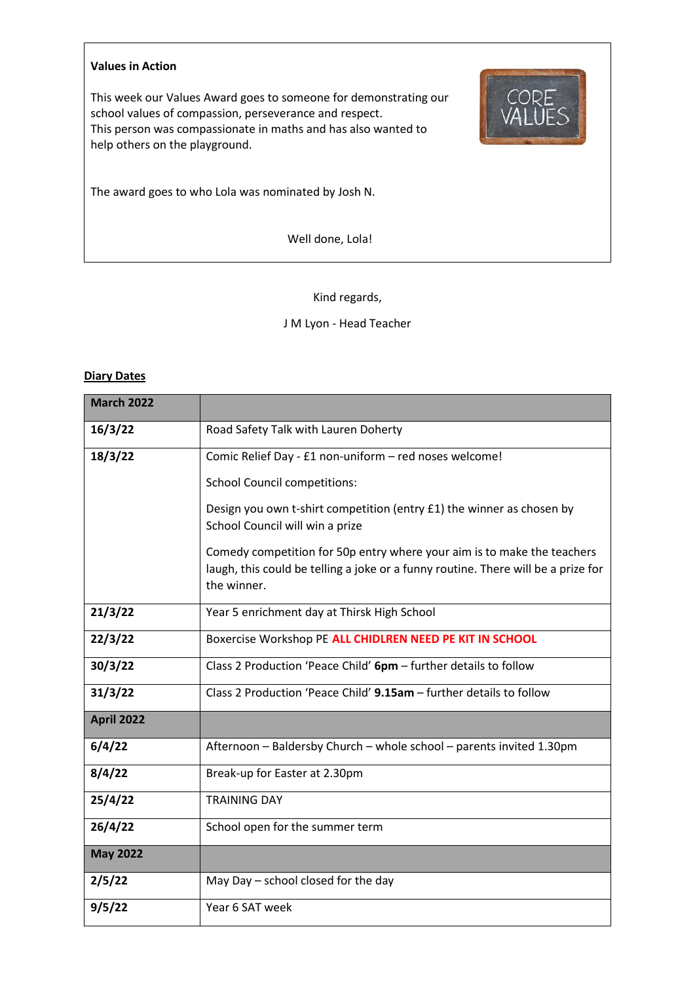#### **Values in Action**

This week our Values Award goes to someone for demonstrating our school values of compassion, perseverance and respect. This person was compassionate in maths and has also wanted to help others on the playground.



The award goes to who Lola was nominated by Josh N.

Well done, Lola!

Kind regards,

J M Lyon - Head Teacher

## **Diary Dates**

| <b>March 2022</b> |                                                                                                                                                                             |  |  |  |  |
|-------------------|-----------------------------------------------------------------------------------------------------------------------------------------------------------------------------|--|--|--|--|
| 16/3/22           | Road Safety Talk with Lauren Doherty                                                                                                                                        |  |  |  |  |
| 18/3/22           | Comic Relief Day - £1 non-uniform - red noses welcome!                                                                                                                      |  |  |  |  |
|                   | <b>School Council competitions:</b>                                                                                                                                         |  |  |  |  |
|                   | Design you own t-shirt competition (entry £1) the winner as chosen by<br>School Council will win a prize                                                                    |  |  |  |  |
|                   | Comedy competition for 50p entry where your aim is to make the teachers<br>laugh, this could be telling a joke or a funny routine. There will be a prize for<br>the winner. |  |  |  |  |
| 21/3/22           | Year 5 enrichment day at Thirsk High School                                                                                                                                 |  |  |  |  |
| 22/3/22           | Boxercise Workshop PE ALL CHIDLREN NEED PE KIT IN SCHOOL                                                                                                                    |  |  |  |  |
| 30/3/22           | Class 2 Production 'Peace Child' 6pm - further details to follow                                                                                                            |  |  |  |  |
| 31/3/22           | Class 2 Production 'Peace Child' 9.15am - further details to follow                                                                                                         |  |  |  |  |
| <b>April 2022</b> |                                                                                                                                                                             |  |  |  |  |
| 6/4/22            | Afternoon - Baldersby Church - whole school - parents invited 1.30pm                                                                                                        |  |  |  |  |
| 8/4/22            | Break-up for Easter at 2.30pm                                                                                                                                               |  |  |  |  |
| 25/4/22           | <b>TRAINING DAY</b>                                                                                                                                                         |  |  |  |  |
| 26/4/22           | School open for the summer term                                                                                                                                             |  |  |  |  |
| <b>May 2022</b>   |                                                                                                                                                                             |  |  |  |  |
| 2/5/22            | May Day - school closed for the day                                                                                                                                         |  |  |  |  |
| 9/5/22            | Year 6 SAT week                                                                                                                                                             |  |  |  |  |